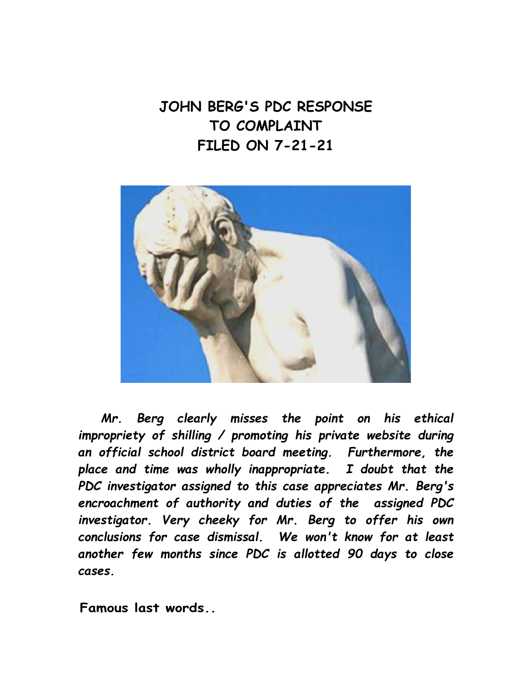**JOHN BERG'S PDC RESPONSE TO COMPLAINT FILED ON 7-21-21** 



*Mr. Berg clearly misses the point on his ethical impropriety of shilling / promoting his private website during an official school district board meeting. Furthermore, the place and time was wholly inappropriate. I doubt that the PDC investigator assigned to this case appreciates Mr. Berg's encroachment of authority and duties of the assigned PDC investigator. Very cheeky for Mr. Berg to offer his own conclusions for case dismissal. We won't know for at least another few months since PDC is allotted 90 days to close cases.* 

**Famous last words..**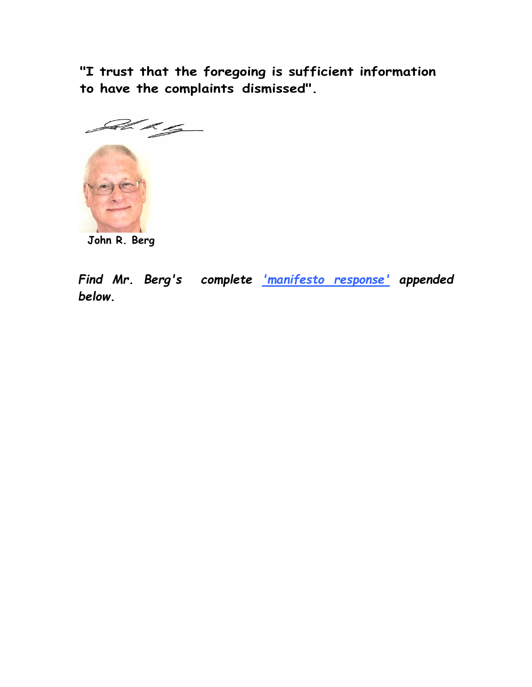**"I trust that the foregoing is sufficient information to have the complaints dismissed".**



**John R. Berg** 

*Find Mr. Berg's complete 'manifesto response' appended below.*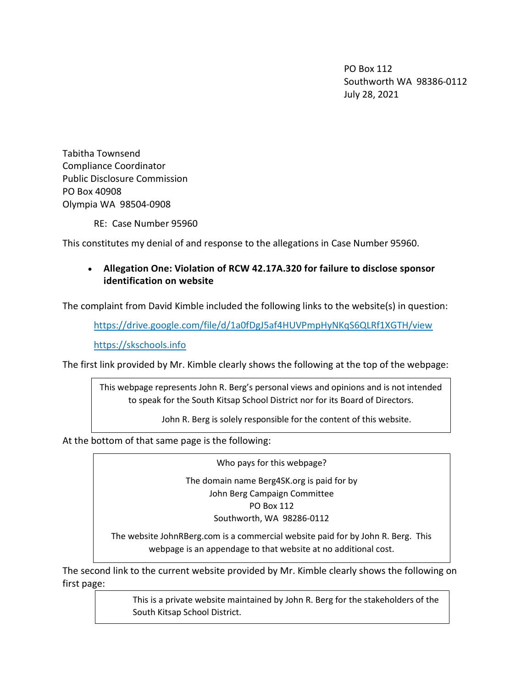PO Box 112 Southworth WA 98386-0112 July 28, 2021

Tabitha Townsend Compliance Coordinator Public Disclosure Commission PO Box 40908 Olympia WA 98504-0908

RE: Case Number 95960

This constitutes my denial of and response to the allegations in Case Number 95960.

## Allegation One: Violation of RCW 42.17A.320 for failure to disclose sponsor identification on website

The complaint from David Kimble included the following links to the website(s) in question:

https://drive.google.com/file/d/1a0fDgJ5af4HUVPmpHyNKqS6QLRf1XGTH/view

https://skschools.info

The first link provided by Mr. Kimble clearly shows the following at the top of the webpage:

This webpage represents John R. Berg's personal views and opinions and is not intended to speak for the South Kitsap School District nor for its Board of Directors.

John R. Berg is solely responsible for the content of this website.

At the bottom of that same page is the following:

Who pays for this webpage?

The domain name Berg4SK.org is paid for by John Berg Campaign Committee PO Box 112 Southworth, WA 98286-0112

The website JohnRBerg.com is a commercial website paid for by John R. Berg. This webpage is an appendage to that website at no additional cost.

The second link to the current website provided by Mr. Kimble clearly shows the following on first page:

> This is a private website maintained by John R. Berg for the stakeholders of the South Kitsap School District.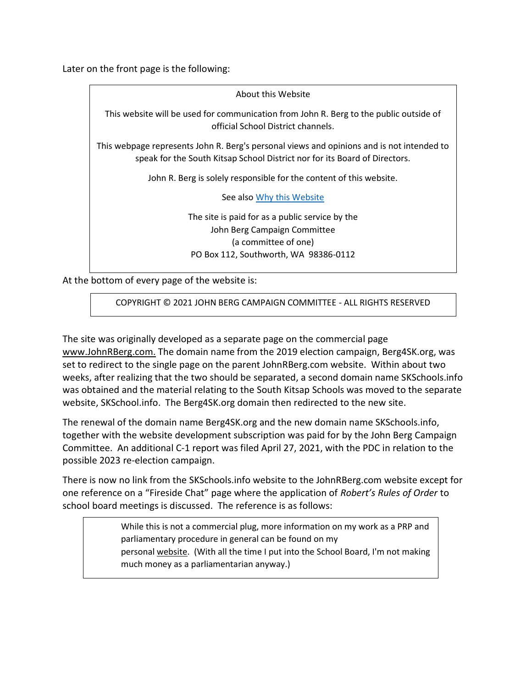Later on the front page is the following:

About this Website This website will be used for communication from John R. Berg to the public outside of official School District channels. This webpage represents John R. Berg's personal views and opinions and is not intended to speak for the South Kitsap School District nor for its Board of Directors. John R. Berg is solely responsible for the content of this website. See also Why this Website The site is paid for as a public service by the John Berg Campaign Committee (a committee of one) PO Box 112, Southworth, WA 98386-0112

At the bottom of every page of the website is:

COPYRIGHT © 2021 JOHN BERG CAMPAIGN COMMITTEE - ALL RIGHTS RESERVED

The site was originally developed as a separate page on the commercial page www.JohnRBerg.com. The domain name from the 2019 election campaign, Berg4SK.org, was set to redirect to the single page on the parent JohnRBerg.com website. Within about two weeks, after realizing that the two should be separated, a second domain name SKSchools.info was obtained and the material relating to the South Kitsap Schools was moved to the separate website, SKSchool.info. The Berg4SK.org domain then redirected to the new site.

The renewal of the domain name Berg4SK.org and the new domain name SKSchools.info, together with the website development subscription was paid for by the John Berg Campaign Committee. An additional C-1 report was filed April 27, 2021, with the PDC in relation to the possible 2023 re-election campaign.

There is now no link from the SKSchools.info website to the JohnRBerg.com website except for one reference on a "Fireside Chat" page where the application of Robert's Rules of Order to school board meetings is discussed. The reference is as follows:

> While this is not a commercial plug, more information on my work as a PRP and parliamentary procedure in general can be found on my personal website. (With all the time I put into the School Board, I'm not making much money as a parliamentarian anyway.)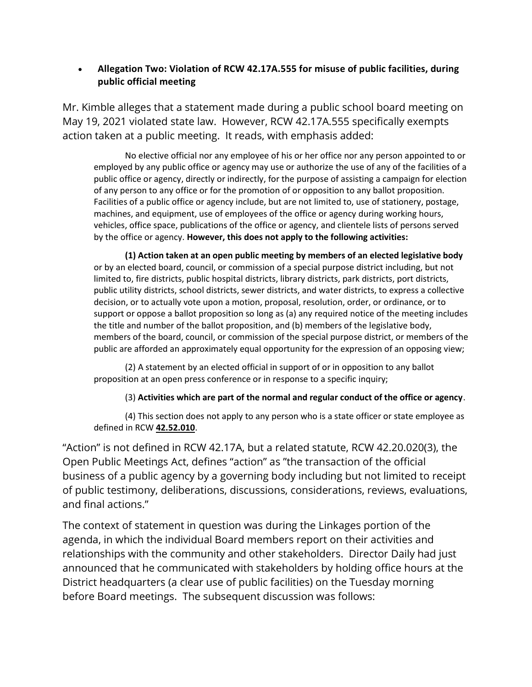## Allegation Two: Violation of RCW 42.17A.555 for misuse of public facilities, during public official meeting

Mr. Kimble alleges that a statement made during a public school board meeting on May 19, 2021 violated state law. However, RCW 42.17A.555 specifically exempts action taken at a public meeting. It reads, with emphasis added:

No elective official nor any employee of his or her office nor any person appointed to or employed by any public office or agency may use or authorize the use of any of the facilities of a public office or agency, directly or indirectly, for the purpose of assisting a campaign for election of any person to any office or for the promotion of or opposition to any ballot proposition. Facilities of a public office or agency include, but are not limited to, use of stationery, postage, machines, and equipment, use of employees of the office or agency during working hours, vehicles, office space, publications of the office or agency, and clientele lists of persons served by the office or agency. However, this does not apply to the following activities:

(1) Action taken at an open public meeting by members of an elected legislative body or by an elected board, council, or commission of a special purpose district including, but not limited to, fire districts, public hospital districts, library districts, park districts, port districts, public utility districts, school districts, sewer districts, and water districts, to express a collective decision, or to actually vote upon a motion, proposal, resolution, order, or ordinance, or to support or oppose a ballot proposition so long as (a) any required notice of the meeting includes the title and number of the ballot proposition, and (b) members of the legislative body, members of the board, council, or commission of the special purpose district, or members of the public are afforded an approximately equal opportunity for the expression of an opposing view;

(2) A statement by an elected official in support of or in opposition to any ballot proposition at an open press conference or in response to a specific inquiry;

## (3) Activities which are part of the normal and regular conduct of the office or agency.

(4) This section does not apply to any person who is a state officer or state employee as defined in RCW 42.52.010.

"Action" is not defined in RCW 42.17A, but a related statute, RCW 42.20.020(3), the Open Public Meetings Act, defines "action" as "the transaction of the official business of a public agency by a governing body including but not limited to receipt of public testimony, deliberations, discussions, considerations, reviews, evaluations, and final actions."

The context of statement in question was during the Linkages portion of the agenda, in which the individual Board members report on their activities and relationships with the community and other stakeholders. Director Daily had just announced that he communicated with stakeholders by holding office hours at the District headquarters (a clear use of public facilities) on the Tuesday morning before Board meetings. The subsequent discussion was follows: